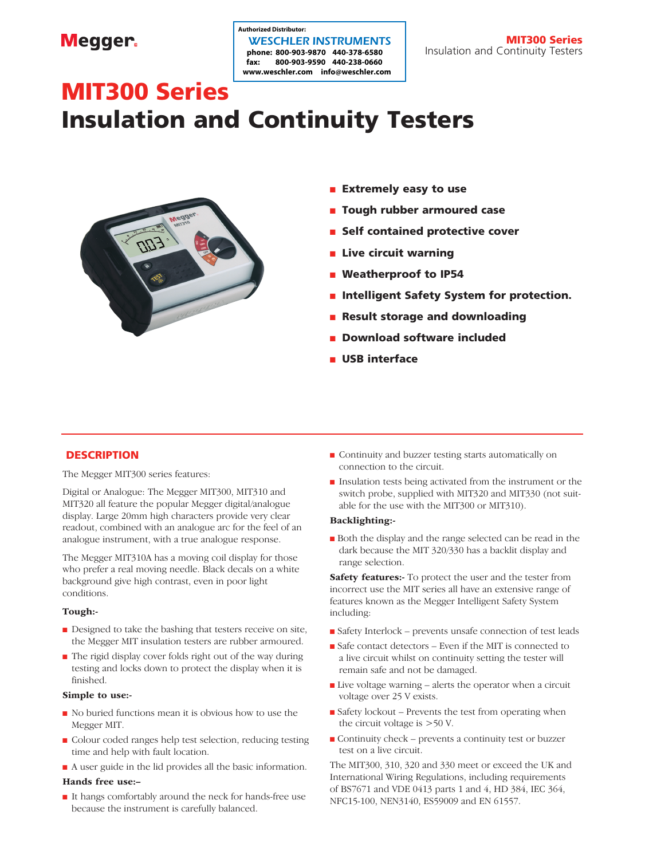# **Megger**

# **fax: 800-903-9590 440-238-0660 www.weschler.com info@weschler.com** WESCHLER INSTRUMENTS **Authorized Distributor:**

# MIT300 Series Insulation and Continuity Testers



- **n** Extremely easy to use
- **n** Tough rubber armoured case
- **n** Self contained protective cover
- $\blacksquare$  Live circuit warning
- **n** Weatherproof to IP54
- **n** Intelligent Safety System for protection.
- **n** Result storage and downloading
- **n** Download software included
- **u USB interface**

## **DESCRIPTION**

The Megger MIT300 series features:

Digital or Analogue: The Megger MIT300, MIT310 and MIT320 all feature the popular Megger digital/analogue display. Large 20mm high characters provide very clear readout, combined with an analogue arc for the feel of an analogue instrument, with a true analogue response.

The Megger MIT310A has a moving coil display for those who prefer a real moving needle. Black decals on a white background give high contrast, even in poor light conditions.

#### Tough:-

- $\blacksquare$  Designed to take the bashing that testers receive on site, the Megger MIT insulation testers are rubber armoured.
- <sup>n</sup> The rigid display cover folds right out of the way during testing and locks down to protect the display when it is finished.

#### Simple to use:-

- $\blacksquare$  No buried functions mean it is obvious how to use the Megger MIT.
- <sup>n</sup> Colour coded ranges help test selection, reducing testing time and help with fault location.
- <sup>n</sup> A user guide in the lid provides all the basic information.

#### Hands free use:–

<sup>n</sup> It hangs comfortably around the neck for hands-free use because the instrument is carefully balanced.

- <sup>n</sup> Continuity and buzzer testing starts automatically on connection to the circuit.
- <sup>n</sup> Insulation tests being activated from the instrument or the switch probe, supplied with MIT320 and MIT330 (not suitable for the use with the MIT300 or MIT310).

#### Backlighting:-

<sup>n</sup> Both the display and the range selected can be read in the dark because the MIT 320/330 has a backlit display and range selection.

Safety features:- To protect the user and the tester from incorrect use the MIT series all have an extensive range of features known as the Megger Intelligent Safety System including:

- <sup>n</sup> Safety Interlock prevents unsafe connection of test leads
- <sup>n</sup> Safe contact detectors Even if the MIT is connected to a live circuit whilst on continuity setting the tester will remain safe and not be damaged.
- $\blacksquare$  Live voltage warning alerts the operator when a circuit voltage over 25 V exists.
- $\blacksquare$  Safety lockout Prevents the test from operating when the circuit voltage is >50 V.
- <sup>n</sup> Continuity check prevents a continuity test or buzzer test on a live circuit.

The MIT300, 310, 320 and 330 meet or exceed the UK and International Wiring Regulations, including requirements of BS7671 and VDE 0413 parts 1 and 4, HD 384, IEC 364, NFC15-100, NEN3140, ES59009 and EN 61557.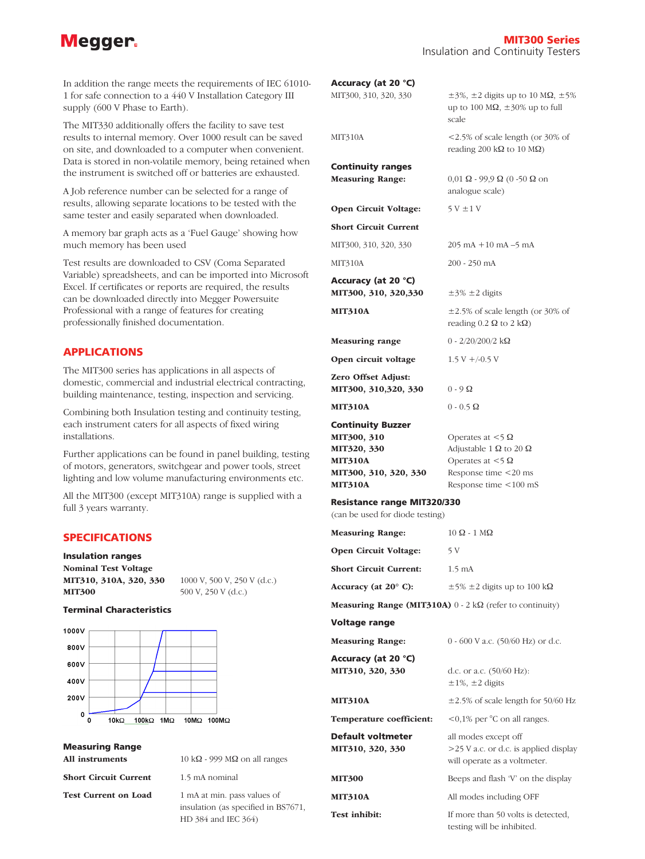# **Megger**

In addition the range meets the requirements of IEC 61010- 1 for safe connection to a 440 V Installation Category III supply (600 V Phase to Earth).

The MIT330 additionally offers the facility to save test results to internal memory. Over 1000 result can be saved on site, and downloaded to a computer when convenient. Data is stored in non-volatile memory, being retained when the instrument is switched off or batteries are exhausted.

A Job reference number can be selected for a range of results, allowing separate locations to be tested with the same tester and easily separated when downloaded.

A memory bar graph acts as a 'Fuel Gauge' showing how much memory has been used

Test results are downloaded to CSV (Coma Separated Variable) spreadsheets, and can be imported into Microsoft Excel. If certificates or reports are required, the results can be downloaded directly into Megger Powersuite Professional with a range of features for creating professionally finished documentation.

## APPLICATIONS

The MIT300 series has applications in all aspects of domestic, commercial and industrial electrical contracting, building maintenance, testing, inspection and servicing.

Combining both Insulation testing and continuity testing, each instrument caters for all aspects of fixed wiring installations.

Further applications can be found in panel building, testing of motors, generators, switchgear and power tools, street lighting and low volume manufacturing environments etc.

All the MIT300 (except MIT310A) range is supplied with a full 3 years warranty.

#### SPECIFICATIONS

#### Insulation ranges

Nominal Test Voltage **MIT300** 500 V, 250 V (d.c.)

MIT310, 310A, 320, 330 1000 V, 500 V, 250 V (d.c.)

#### Terminal Characteristics



| <b>Measuring Range</b> |  |
|------------------------|--|
|------------------------|--|

All instruments  $10 k\Omega - 999 M\Omega$  on all ranges

Short Circuit Current 1.5 mA nominal

Test Current on Load 1 mA at min. pass values of

 insulation (as specified in BS7671, HD 384 and IEC 364)

| Accuracy (at 20 °C)<br>MIT300, 310, 320, 330                                                                        | $\pm$ 3%, $\pm$ 2 digits up to 10 M $\Omega$ , $\pm$ 5%<br>up to 100 M $\Omega$ , $\pm$ 30% up to full<br>scale                            |
|---------------------------------------------------------------------------------------------------------------------|--------------------------------------------------------------------------------------------------------------------------------------------|
| MIT310A                                                                                                             | $\leq$ 2.5% of scale length (or 30% of<br>reading 200 k $\Omega$ to 10 M $\Omega$ )                                                        |
| <b>Continuity ranges</b><br><b>Measuring Range:</b>                                                                 | $0,01 \Omega - 99,9 \Omega (0 - 50 \Omega)$ on<br>analogue scale)                                                                          |
| Open Circuit Voltage:                                                                                               | $5V \pm 1V$                                                                                                                                |
| <b>Short Circuit Current</b>                                                                                        |                                                                                                                                            |
| MIT300, 310, 320, 330                                                                                               | $205 \text{ mA} + 10 \text{ mA} - 5 \text{ mA}$                                                                                            |
| MIT310A                                                                                                             | 200 - 250 mA                                                                                                                               |
| Accuracy (at 20 °C)<br>MIT300, 310, 320,330                                                                         | $\pm$ 3% $\pm$ 2 digits                                                                                                                    |
| <b>MIT310A</b>                                                                                                      | $\pm 2.5\%$ of scale length (or 30% of<br>reading 0.2 $\Omega$ to 2 k $\Omega$ )                                                           |
| <b>Measuring range</b>                                                                                              | $0 - 2/20/200/2$ kΩ                                                                                                                        |
| Open circuit voltage                                                                                                | $1.5 V + 0.5 V$                                                                                                                            |
| Zero Offset Adjust:<br>MIT300, 310,320, 330                                                                         | $0 - 9\Omega$                                                                                                                              |
| <b>MIT310A</b>                                                                                                      | $0 - 0.5 \Omega$                                                                                                                           |
| <b>Continuity Buzzer</b><br>MIT300, 310<br>MIT320, 330<br><b>MIT310A</b><br>MIT300, 310, 320, 330<br><b>MIT310A</b> | Operates at $<$ 5 $\Omega$<br>Adjustable 1 $\Omega$ to 20 $\Omega$<br>Operates at $<$ 5 Ω<br>Response time <20 ms<br>Response time <100 mS |
| <b>Resistance range MIT320/330</b><br>(can be used for diode testing)                                               |                                                                                                                                            |
| <b>Measuring Range:</b>                                                                                             | $10 \Omega - 1 \text{ M}\Omega$                                                                                                            |
| Open Circuit Voltage:                                                                                               | 5 V                                                                                                                                        |
| <b>Short Circuit Current:</b>                                                                                       | $1.5 \text{ mA}$                                                                                                                           |
| Accuracy (at $20^{\circ}$ C):                                                                                       | $\pm$ 5% $\pm$ 2 digits up to 100 kΩ                                                                                                       |
|                                                                                                                     | <b>Measuring Range (MIT310A)</b> $0 - 2 k\Omega$ (refer to continuity)                                                                     |
| Voltage range                                                                                                       |                                                                                                                                            |
| <b>Measuring Range:</b>                                                                                             | 0 - 600 V a.c. (50/60 Hz) or d.c.                                                                                                          |
| Accuracy (at 20 °C)<br>MIT310, 320, 330                                                                             | d.c. or a.c. (50/60 Hz):<br>$\pm 1\%$ , $\pm 2$ digits                                                                                     |
| <b>MIT310A</b>                                                                                                      | $\pm 2.5\%$ of scale length for 50/60 Hz                                                                                                   |
| Temperature coefficient:                                                                                            | <0,1% per °C on all ranges.                                                                                                                |
| <b>Default voltmeter</b><br>MIT310, 320, 330                                                                        | all modes except off<br>>25 V a.c. or d.c. is applied display<br>will operate as a voltmeter.                                              |
| <b>MIT300</b>                                                                                                       | Beeps and flash 'V' on the display                                                                                                         |
| <b>MIT310A</b>                                                                                                      | All modes including OFF                                                                                                                    |

Test inhibit: If more than 50 volts is detected,

testing will be inhibited.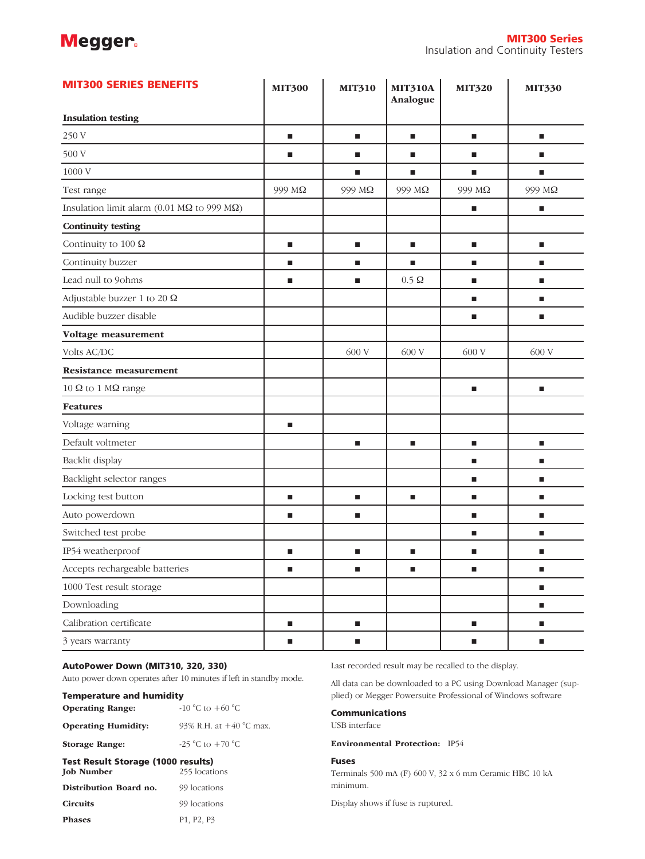# **Megger**

| <b>MIT300 SERIES BENEFITS</b>                               | <b>MIT300</b>  | <b>MIT310</b> | <b>MIT310A</b><br>Analogue | <b>MIT320</b>  | <b>MIT330</b>  |
|-------------------------------------------------------------|----------------|---------------|----------------------------|----------------|----------------|
| <b>Insulation testing</b>                                   |                |               |                            |                |                |
| 250 V                                                       | п              | п             | п                          | п              | п              |
| 500 V                                                       | п              | п             | п                          | П              | п              |
| 1000 V                                                      |                | п             | ٠                          | $\blacksquare$ | $\blacksquare$ |
| Test range                                                  | 999 MΩ         | 999 MΩ        | 999 MΩ                     | 999 MΩ         | 999 MΩ         |
| Insulation limit alarm (0.01 M $\Omega$ to 999 M $\Omega$ ) |                |               |                            | $\blacksquare$ | $\blacksquare$ |
| <b>Continuity testing</b>                                   |                |               |                            |                |                |
| Continuity to 100 $\Omega$                                  | п              | п             | п                          | $\blacksquare$ | п              |
| Continuity buzzer                                           | $\blacksquare$ | п             | п                          | п              | п              |
| Lead null to 9ohms                                          | п              | п             | $0.5 \Omega$               | $\blacksquare$ | п              |
| Adjustable buzzer 1 to 20 $\Omega$                          |                |               |                            | п              | п              |
| Audible buzzer disable                                      |                |               |                            | ш              | п              |
| Voltage measurement                                         |                |               |                            |                |                |
| Volts AC/DC                                                 |                | 600 V         | 600 V                      | 600 V          | 600 V          |
| <b>Resistance measurement</b>                               |                |               |                            |                |                |
| 10 $\Omega$ to 1 M $\Omega$ range                           |                |               |                            | п              | п              |
| <b>Features</b>                                             |                |               |                            |                |                |
| Voltage warning                                             | $\blacksquare$ |               |                            |                |                |
| Default voltmeter                                           |                | ш             | ш                          | ш              | $\blacksquare$ |
| Backlit display                                             |                |               |                            | $\blacksquare$ | п              |
| Backlight selector ranges                                   |                |               |                            | $\blacksquare$ | п              |
| Locking test button                                         | $\blacksquare$ | ш             | ш                          | $\blacksquare$ | п              |
| Auto powerdown                                              | п              | п             |                            | $\blacksquare$ | п              |
| Switched test probe                                         |                |               |                            | $\blacksquare$ | $\blacksquare$ |
| IP54 weatherproof                                           | п              | п             | п                          | ш              | п              |
| Accepts rechargeable batteries                              | $\blacksquare$ | п             | п                          | Е              | п              |
| 1000 Test result storage                                    |                |               |                            |                | $\blacksquare$ |
| Downloading                                                 |                |               |                            |                | $\blacksquare$ |
| Calibration certificate                                     | $\blacksquare$ | п             |                            | $\blacksquare$ | п              |
| 3 years warranty                                            | ш              | п             |                            | ш              | ш              |

#### AutoPower Down (MIT310, 320, 330)

Auto power down operates after 10 minutes if left in standby mode.

| <b>Temperature and humidity</b>           |                                  |  |  |  |
|-------------------------------------------|----------------------------------|--|--|--|
| <b>Operating Range:</b>                   | $-10\degree C$ to $+60\degree C$ |  |  |  |
| <b>Operating Humidity:</b>                | 93% R.H. at $+40$ °C max.        |  |  |  |
| <b>Storage Range:</b>                     | -25 °C to $+70$ °C               |  |  |  |
| <b>Test Result Storage (1000 results)</b> |                                  |  |  |  |
| <b>Joh Number</b>                         | 255 locations                    |  |  |  |

| <b>Job Number</b>      | 255 locations                                    |  |  |
|------------------------|--------------------------------------------------|--|--|
| Distribution Board no. | 99 locations                                     |  |  |
| <b>Circuits</b>        | 99 locations                                     |  |  |
| <b>Phases</b>          | P <sub>1</sub> , P <sub>2</sub> , P <sub>3</sub> |  |  |

Last recorded result may be recalled to the display.

All data can be downloaded to a PC using Download Manager (supplied) or Megger Powersuite Professional of Windows software

#### Communications

USB interface

Environmental Protection: IP54

#### Fuses

Terminals 500 mA (F) 600 V, 32 x 6 mm Ceramic HBC 10 kA minimum.

Display shows if fuse is ruptured.